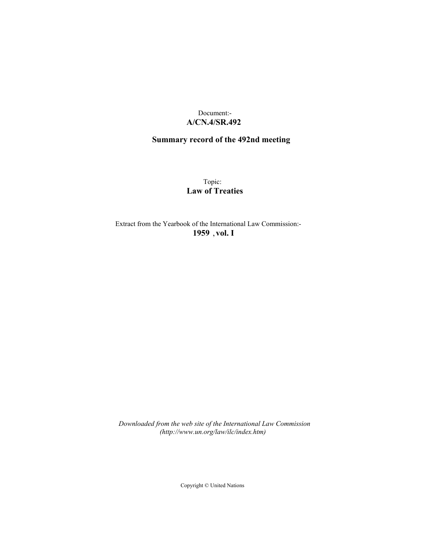## Document:- **A/CN.4/SR.492**

# **Summary record of the 492nd meeting**

Topic: **Law of Treaties**

Extract from the Yearbook of the International Law Commission:- **1959** ,**vol. I**

*Downloaded from the web site of the International Law Commission (http://www.un.org/law/ilc/index.htm)*

Copyright © United Nations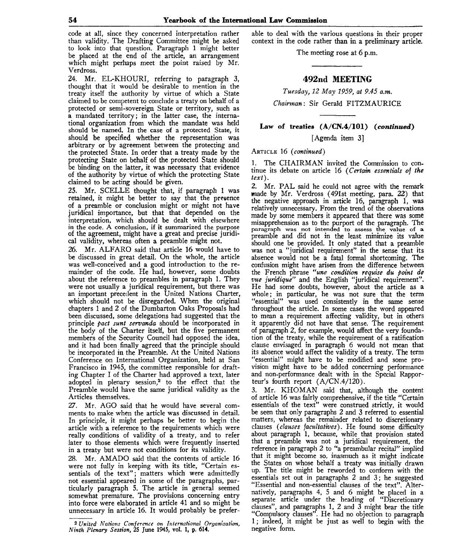code at all, since they concerned interpretation rather than validity. The Drafting Committee might be asked to look into that question. Paragraph 1 might better be placed at the end of the article, an arrangement which might perhaps meet the point raised by Mr. Verdross.

24. Mr. EL-KHOURI, referring to paragraph 3, thought that it would be desirable to mention in the treaty itself the authority by virtue of which a State claimed to be competent to conclude a treaty on behalf of a protected or semi-sovereign State or territory, such as a mandated territory; in the latter case, the international organization from which the mandate was held should be named. In the case of a protected State, it should be specified whether the representation was arbitrary or by agreement between the protecting and the protected State. In order that a treaty made by the protecting State on behalf of the protected State should be binding on the latter, it was necessary that evidence of the authority by virtue of which the protecting State claimed to be acting should be given.

25. Mr. SCELLE thought that, if paragraph 1 was retained, it might be better to say that the presence of a preamble or conclusion might or might not have juridical importance, but that that depended on the interpretation, which should be dealt with elsewhere in the code. A conclusion, if it summarized the purpose of the agreement, might have a great and precise juridical validity, whereas often a preamble might not.

26. Mr. ALFARO said that article 16 would have to be discussed in great detail. On the whole, the article was well-conceived and a good introduction to the remainder of the code. He had, however, some doubts about the reference to preambles in paragraph 1. They were not usually a juridical requirement, but there was an important precedent in the United Nations Charter, which should not be disregarded. When the original chapters 1 and 2 of the Dumbarton Oaks Proposals had been discussed, some delegations had suggested that the principle *pact sunt servanda* should be incorporated in the body of the Charter itself, but the five permanent members of the Security Council had opposed the idea, and it had been finally agreed that the principle should be incorporated in the Preamble. At the United Nations Conference on International Organization, held at San Francisco in 1945, the committee responsible for drafting Chapter I of the Charter had approved a text, later adopted in plenary session,<sup>2</sup> to the effect that the Preamble would have the same juridical validity as the Articles themselves.

27. Mr. AGO said that he would have several comments to make when the article was discussed in detail. In principle, it might perhaps be better to begin the article with a reference to the requirements which were really conditions of validity of a treaty, and to refer later to those elements which were frequently inserted in a treaty but were not conditions for its validity.

28. Mr. AMADO said that the contents of article 16 were not fully in keeping with its title, "Certain essentials of the text"; matters which were admittedly not essential appeared in some of the paragraphs, particularly paragraph 5. The article in general seemed somewhat premature. The provisions concerning entry into force were elaborated in article 41 and so might be unnecessary in article 16. It would probably be preferable to deal with the various questions in their proper context in the code rather than in a preliminary article.

The meeting rose at 6 p.m.

## **492nd MEETING**

*Tuesday, 12 May 1959, at 9.45 a.m.*

*Chairman:* Sir Gerald FITZMAURICE

**Law of treaties (A/CN.4/101)** *(continued)*

[Agenda item 3]

ARTICLE 16 *(continued)*

1. The CHAIRMAN invited the Commission to continue its debate on article 16 *(Certain essentials of the text).*

2. Mr. PAL said he could not agree with the remark made by Mr. Verdross (491st meeting, para. 22) that the negative approach in article 16, paragraph 1, was relatively unnecessary. From the trend of the observations made by some members it appeared that there was some misapprehension as to the purport of the paragraph. The paragraph was not intended to assess the value of a preamble and did not in the least minimize its value should one be provided. It only stated that a preamble was not a "juridical requirement" in the sense that its absence would not be a fatal formal shortcoming. The confusion might have arisen from the difference between the French phrase *"une condition requise du point de vue juridique"* and the English "juridical requirement". He had some doubts, however, about the article as a whole; in particular, he was not sure that the term "essential" was used consistently in the same sense throughout the article. In some cases the word appeared to mean a requirement affecting validity, but in others it apparently did not have that sense. The requirement of paragraph 2, for example, would affect the very foundation of the treaty, while the requirement of a ratification clause envisaged in paragraph 6 would not mean that its absence would affect the validity of a treaty. The term "essential" might have to be modified and some provision might have to be added concerning performance and non-performance dealt with in the Special Rapporteur's fourth report (A/CN.4/120).

3. Mr. KHOMAN said that, although the content of article 16 was fairly comprehensive, if the title "Certain essentials of the text" were construed strictly, it would be seen that only paragraphs 2 and 3 referred to essential matters, whereas the remainder related to discretionary clauses *(clauses facultatives).* He found some difficulty about paragraph 1, because, while that provision stated that a preamble was not a juridical requirement, the reference in paragraph 2 to "a preambular recital" implied that it might become so, inasmuch as it might indicate the States on whose behalf a treaty was initially drawn up. The title might be reworded to conform with the essentials set out in paragraphs 2 and 3; he suggested "Essential and non-essential clauses of the text". Alternatively, paragraphs 4, 5 and 6 might be placed in a separate article under the heading of "Discretionary clauses", and paragraphs 1, 2 and 3 might bear the title "Compulsory clauses". He had no objection to paragraph 1; indeed, it might be just as well to begin with the negative form.

<sup>2</sup>  *United Nations Conference on International Organization, Ninth Plenary Session,* 25 June 1945, vol. **1,** p. **614.**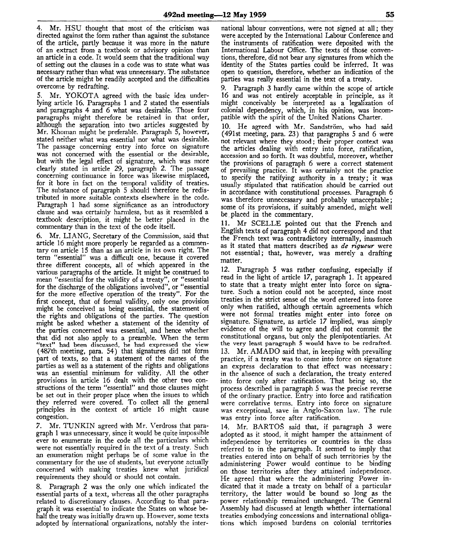4. Mr. HSU thought that most of the criticism was directed against the form rather than against the substance of the article, partly because it was more in the nature of an extract from a textbook or advisory opinion than an article in a code. It would seem that the traditional way of setting out the clauses in a code was to state what was necessary rather than what was unnecessary. The substance of the article might be readily accepted and the difficulties overcome by redrafting.

Mr. YOKOTA agreed with the basic idea underlying article 16. Paragraphs 1 and 2 stated the essentials and paragraphs 4 and 6 what was desirable. Those four paragraphs might therefore be retained in that order, although the separation into two articles suggested by Mr. Khoman might be preferable. Paragraph 5, however, stated neither what was essential nor what was desirable. The passage concerning entry into force on signature was not concerned with the essential or the desirable, but with the legal effect of signature, which was more clearly stated in article 29, paragraph 2. The passage concerning continuance in force was likewise misplaced, for it bore in fact on the temporal validity of treaties. The substance of paragraph 5 should therefore be redistributed in more suitable contexts elsewhere in the code. Paragraph 1 had some significance as an introductory clause and was certainly harmless, but as it resembled a textbook description, it might be better placed in the commentary than in the text of the code itself.

6. Mr. LIANG, Secretary of the Commission, said that article 16 might more properly be regarded as a commentary on article 15 than as an article in its own right. The term "essential" was a difficult one, because it covered three different concepts, all of which appeared in the various paragraphs of the article. It might be construed to mean "essential for the validity of a treaty", or "essential for the discharge of the obligations involved", or "essential for the more effective operation of the treaty". For the first concept, that of formal validity, only one provision might be conceived as being essential, the statement of the rights and obligations of the parties. The question might be asked whether a statement of the identity of the parties concerned was essential, and hence whether that did not also apply to a preamble. When the term "text" had been discussed, he had expressed the view (487th meeting, para. 54) that signatures did not form part of texts, so that a statement of the names of the parties as well as a statement of the rights and obligations was an essential minimum for validity. All the other provisions in article 16 dealt with the other two constructions of the term "essential" and those clauses might be set out in their proper place when the issues to which they referred were covered. To collect all the general principles in the context of article 16 might cause congestion.

7. Mr. TUNKIN agreed with Mr. Verdross that paragraph 1 was unnecessary, since it would be quite impossible ever to enumerate in the code all the particulars which were not essentially required in the text of a treaty. Such an enumeration might perhaps be of some value in the commentary for the use of students, but everyone actually concerned with making treaties knew what juridical requirements they should or should not contain.

8. Paragraph 2 was the only one which indicated the essential parts of a text, whereas all the other paragraphs related to discretionary clauses. According to that paragraph it was essential to indicate the States on whose behalf the treaty was initially drawn up. However, some texts adopted by international organizations, notably the international labour conventions, were not signed at all; they were accepted by the International Labour Conference and the instruments of ratification were deposited with the International Labour Office. The texts of those conventions, therefore, did not bear any signatures from which the identity of the States parties could be inferred. It was open to question, therefore, whether an indication of the parties was really essential in the text of a treaty.

9. Paragraph 3 hardly came within the scope of article 16 and was not entirely acceptable in principle, as it might conceivably be interpreted as a legalization of colonial dependency, which, in his opinion, was incompatible with the spirit of the United Nations Charter.

10. He agreed with Mr. Sandström, who had said (491st meeting, para. 23) that paragraphs 5 and 6 were not relevant where they stood; their proper context was the articles dealing with entry into force, ratification, accession and so forth. It was doubtful, moreover, whether the provisions of paragraph 6 were a correct statement of prevailing practice. It was certainly not the practice to specify the ratifying authority in a treaty; it was usually stipulated that ratification should be carried out in accordance with constitutional processes. Paragraph 6 was therefore unnecessary and probably unacceptable; some of its provisions, if suitably amended, might well be.placed in the commentary.

11. Mr SCELLE pointed out that the French and English texts of paragraph 4 did not correspond and that the French text was contradictory internally, inasmuch as it stated that matters described as *de rigueur* were not essential; that, however, was merely a drafting matter.

12. Paragraph 5 was rather confusing, especially if read in the light of article 17, paragraph 1. It appeared to state that a treaty might enter into force on signature. Such a notion could not be accepted, since most treaties in the strict sense of the word entered into force only when ratified, although certain agreements which were not formal treaties might enter into force on signature. Signature, as article 17 implied, was simply evidence of the will to agree and did not commit the constitutional organs, but only the plenipotentiaries. At the very least paragraph 5 would have to be redrafted. 13. Mr. AMADO said that, in keeping with prevailing practice, if a treaty was to come into force on signature an express declaration to that effect was necessary; in the absence of such a declaration, the treaty entered into force only after ratification. That being so, the process described in paragraph 5 was the precise reverse of the ordinary practice. Entry into force and ratification were correlative terms. Entry into force on signature was exceptional, save in Anglo-Saxon law. The rule was entry into force after ratification.

14. Mr. BARTOS said that, if paragraph 3 were adopted as it stood, it might hamper the attainment of independence by territories or countries in the class referred to in the paragraph. It seemed to imply that treaties entered into on behalf of such territories by the administering Power would continue to be binding on those territories after they attained independence. He agreed that where the administering Power indicated that it made a treaty on behalf of a particular territory, the latter would be bound so long as the power relationship remained unchanged. The General Assembly had discussed at length whether international treaties embodying concessions and international obligations which imposed burdens on colonial territories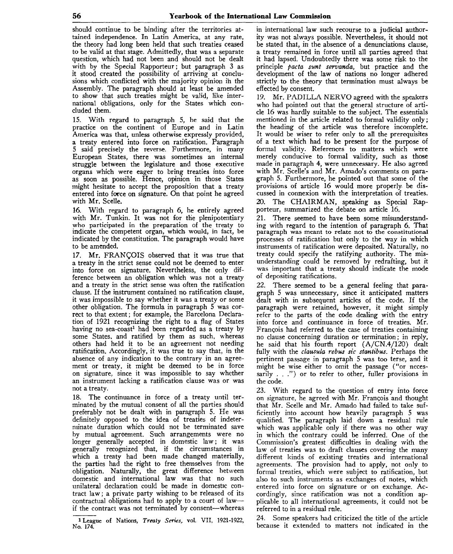should continue to be binding after the territories attained independence. In Latin America, at any rate, the theory had long been held that such treaties ceased to be valid at that stage. Admittedly, that was a separate question, which had not been and should not be dealt with by the Special Rapporteur; but paragraph 3 as it stood created the possibility of arriving at conclusions which conflicted with the majority opinion in the Assembly. The paragraph should at least be amended to show that such treaties might be valid, like international obligations, only for the States which concluded them.

15. With regard to paragraph 5, he said that the practice on the continent of Europe and in Latin America was that, unless otherwise expressly provided, a treaty entered into force on ratification. Paragraph 5 said precisely the reverse. Furthermore, in many European States, there was sometimes an internal struggle between the legislature and those executive organs which were eager to bring treaties into force as soon as possible. Hence, opinion in those States might hesitate to accept the proposition that a treaty entered into force on signature. On that point he agreed with Mr. Scelle.

16. With regard to paragraph 6, he entirely agreed with Mr. Tunkin. It was not for the plenipotentiary who participated in the preparation of the treaty to indicate the competent organ, which- would, in fact, be indicated by the constitution. The paragraph would have to be amended.

17. Mr. FRANCOIS observed that it was true that a treaty in the strict sense could not be deemed to enter into force on signature. Nevertheless, the only difference between an obligation which was not a treaty and a treaty in the strict sense was often the ratification clause. If the instrument contained no ratification clause, it was impossible to say whether it was a treaty or some other obligation. The formula in paragraph 5 was correct to that extent; for example, the Barcelona Declaration of 1921 recognizing the right to a flag of States having no sea-coast<sup>1</sup> had been regarded as a treaty by some States, and ratified by them as such, whereas others had held it to be an agreement not needing ratification. Accordingly, it was true to say that, in the absence of any indication to the contrary in an agreement or treaty, it might be deemed to be in force on signature, since it was impossible to say whether an instrument lacking a ratification clause was or was not a treaty.

18. The continuance in force of a treaty until terminated by the mutual consent of all the parties should preferably not be dealt with in paragraph 5. He was definitely opposed to the idea of treaties of indeterminate duration which could not be terminated save by mutual agreement. Such arrangements were no longer generally accepted in domestic law; it was generally recognized that, if the circumstances in which a treaty had been made changed materially, the parties had the right *to* free themselves from the obligation. Naturally, the great difference between domestic and international law was that no such unilateral declaration could be made in domestic contract law; a private party wishing to be released of its contractual obligations had to apply to a court of law if the contract was not terminated by consent—whereas

1 League of Nations, *Treaty Series,* vol. VII, 1921-1922, No. 174.

in international law such recourse to a judicial authority was not always possible. Nevertheless, it should not be stated that, in the absence of a denunciations clause, a treaty remained in force until all parties agreed that it had lapsed. Undoubtedly there was some risk to the principle *pacta sunt servanda,* but practice and the development of the law of nations no longer adhered strictly to the theory that termination must always be effected by consent.

19. Mr. PADILLA NERVO agreed with the speakers who had pointed out that the general structure of article 16 was hardly suitable to the subject. The essentials mentioned in the article related to formal validity only; the heading of the article was therefore incomplete. It would be wiser to refer only to all the prerequisites of a text which had to be present for the purpose of formal validity. References to matters which were merely conducive to formal validity, such as those made in paragraph 4, were unnecessary. He also agreed with Mr. Scelle's and Mr. Amado's comments on paragraph 5. Furthermore, he pointed out that some of the provisions of article 16 would more properly be discussed in connexion with the interpretation of treaties. 20. The CHAIRMAN, speaking as Special Rapporteur, summarized the debate on article 16.

21. There seemed to have been some misunderstanding with regard to the intention of paragraph 6. That paragraph was meant to relate not to the constitutional processes of ratification but only to the way in which instruments of ratification were deposited. Naturally, no treaty could specify the ratifying authority. The misunderstanding could be removed by redrafting, but it was important that a treaty should indicate the mode of depositing ratifications.

22. There seemed to be a general feeling that paragraph 5 was unnecessary, since it anticipated matters dealt with in subsequent articles of the code. If the paragraph were retained, however, it might simply refer to the parts of the code dealing with the entry into force and continuance in force of treaties. Mr. Frangois had referred to the case of treaties containing no clause concerning duration or termination; in reply, he said that his fourth report (A/CN.4/120) dealt fully with the *clausula rebus sic stantibus*. Perhaps the pertinent passage in paragraph 5 was too terse, and it might be wise either to omit the passage ("or necessarily . . .") or to refer to other, fuller provisions in the code.

23. With regard to the question of entry into force on signature, he agreed with Mr. Frangois and thought that Mr. Scelle and Mr. Amado had failed to take sufficiently into account how heavily paragraph 5 was qualified. The paragraph laid down a residual rule which was applicable only if there was no other way in which the contrary could be inferred. One of the Commission's greatest difficulties in dealing with the law of treaties was to draft clauses covering the many different kinds of existing treaties and international agreements. The provision had *to* apply, not only to formal treaties, which were subject to ratification, but also to such instruments as exchanges of notes, which entered into force on signature or on exchange. Accordingly, since ratification was not a condition applicable to all international agreements, it could not be referred to in a residual rule.

24. Some speakers had criticized the title of the article because it extended to matters not indicated in the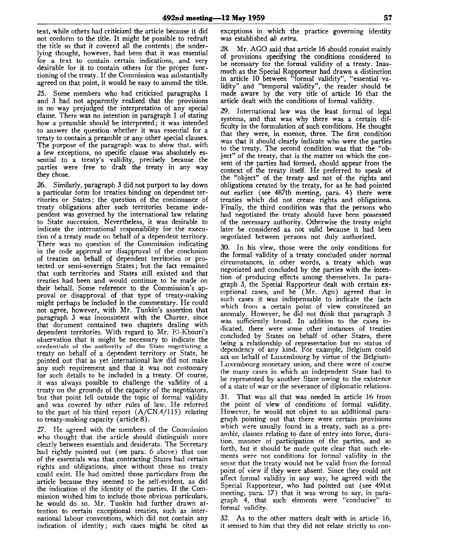text, while others had criticized the article because it did not conform to the title. It might be possible to redraft the title so that it covered all the contents; the underlying thought, however, had been that it was essential for a text to contain certain indications, and very desirable for it to contain others for the proper functioning of the treaty. If the Commission was substantially agreed on that point, it would be easy to amend the title.

25. Some members who had criticized paragraphs 1 and 3 had not apparently realized that the provisions in no way prejudged the interpretation of any special clause. There was no intention in paragraph 1 of stating how a preamble should be interpreted; it was intended to answer the question whether it was essential for a treaty to contain a preamble or any other special clauses. The purpose of the paragraph was to show that, with a few exceptions, no specific clause was absolutely essential to a treaty's validity, precisely because the parties were free to draft the treaty in any way they chose.

26. Similarly, paragraph 3 did not purport to lay down a particular form for treaties binding on dependent territories or States; the question of the continuance of treaty obligations after such territories became independent was governed by the international law relating to State succession. Nevertheless, it was desirable to indicate the international responsibility for the execution of a treaty made on behalf of a dependent territory. There was no question of the Commission indicating in the code approval or disapproval of the conclusion of treaties on behalf of dependent territories or protected or semi-sovereign States; but the fact remained that such territories and States still existed and that treaties had been and would continue to be made on their behalf. Some reference to the Commission's approval or disapproval of that type of treaty-making might perhaps be included in the commentary. He could not agree, however, with Mr. Tunkin's assertion that paragraph 3 was inconsistent with the Charter, since that document contained two chapters dealing with dependent territories. With regard to Mr. El-Khouri's observation that it might be necessary to indicate the credentials of the authority of the State negotiating- a treaty on behalf of a dependent territory or State, he pointed out that as yet international law did not make any such requirement and that it was not customary for such details to be included in a treaty. Of course, it was always possible to challenge the validity of a treaty on the grounds of the capacity of the negotiators, but that point fell outside the topic of formal validity and was covered by other rules of law. He referred to the part of his third report  $(A/CN.4/115)$  relating to treaty-making capacity (article 8).

27. He agreed with the members of the Commission who thought that the article should distinguish more clearly between essentials and desiderata. The Secretary had rightly pointed out (see para. 6 above) that one of the essentials was that contracting States had certain rights and obligations, since without those no treaty could exist. He had omitted those particulars from the article because they seemed to be self-evident, as did the indication of the identity of the parties. If the Commission wished him to include those obvious particulars, he would do so. Mr. Tunkin had further drawn attention to certain exceptional treaties, such as international labour conventions, which did not contain any indication of identity; such cases might be cited as exceptions in which the practice governing identity was established *ab extra.*

28. Mr. AGO said that article 16 should consist mainly of provisions specifying the conditions considered to be necessary for the formal validity of a treaty. Inasmuch as the Special Rapporteur had drawn a distinction in article 10 between "formal validity", "essential validity" and "temporal validity", the reader should be made aware by the very title of article 16 that the article dealt with the conditions of formal validity.

29. International law was the least formal of legal systems, and that was why there was a certain difficulty in the formulation of such conditions. He thought that they were, in essence, three. The first condition was that it should clearly indicate who were the parties to the treaty. The second condition was that the "object" of the treaty, that is the matter on which the consent of the parties had formed, should appear from the context of the treaty itself. He preferred to speak of the "object" of the treaty and not of the rights and obligations created by the treaty, for as he had pointed out earlier (see 487th meeting, para. 4) there were treaties which did not create rights and obligations. Finally, the third condition was that the persons who had negotiated the treaty should have been possessed of the necessary authority. Otherwise the treaty might later be considered as not valid because it had been negotiated between persons not duly authorized.

30. In his view, those were the only conditions for the formal validity of a treaty concluded under normal circumstances, in other words, a treaty which was negotiated and concluded by the parties with the intention of producing effects among themselves. In paragraph 3, the Special Rapporteur dealt with certain exceptional cases, and he (Mr. Ago) agreed that in such cases it was indispensable to indicate the facts which from a certain point of view constituted an anomaly. However, he did not think that paragraph 3 was sufficiently broad. In addition to the cases indicated, there were some other instances of treaties concluded by States on behalf of other States, there being a relationship of representation but no status of dependency of any kind. For example, Belgium could act on behalf of Luxembourg by virtue of the Belgium-Luxembourg monetary union, and there were of course the many cases in which an independent State had to be represented by another State owing to the existence of a state of war or the severance of diplomatic relations.

31. That was all that was needed in article 16 from the point of view of conditions of formal validity. However, he would not object to an additional paragraph pointing out that there were certain provisions which were usually found in a treaty, such as a preamble, clauses relating to date of entry into force, duration, manner of participation of the parties, and so forth, but it should be made quite clear that such elements were not conditions for formal validity in the sense that the treaty would not be valid from the formal point of view if they were absent. Since they could not affect formal validity in any way, he agreed with the Special Rapporteur, who had pointed out (see 491st meeting, para. 17) that it was wrong to say, in paragraph 4, that such elements were "conducive" to formal validity.

32. As to the other matters dealt with in article 16, it seemed to him that they did not relate strictly to con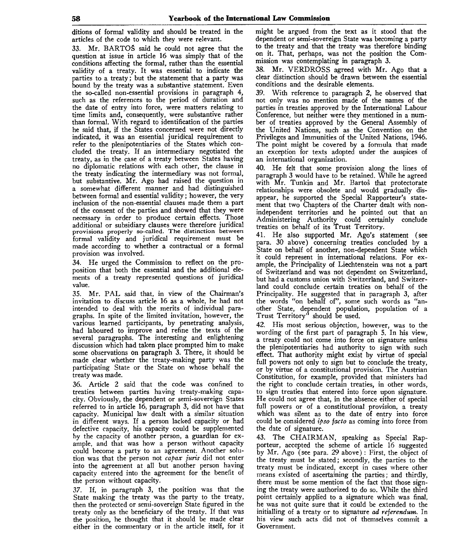ditions of formal validity and should be treated in the articles of the code to which they were relevant.

33. Mr. BARTOS said he could not agree that the question at issue in article 16 was simply that of the conditions affecting the formal, rather than the essential validity of a treaty. It was essential to indicate the parties to a treaty; but the statement that a party was bound by the treaty was a substantive statement. Even the so-called non-essential provisions in paragraph 4, such as the references to the period of duration and the date of entry into force, were matters relating to time limits and, consequently, were substantive rather than formal. With regard to identification of the parties he said that, if the States concerned were not directly indicated, it was an essential juridical requirement to refer to the plenipotentiaries of the States which concluded the treaty. If an intermediary negotiated the treaty, as in the case of a treaty between States having no diplomatic relations with each other, the clause in no appomanc relations with each other, the clause in<br>the treaty indicating the intermediary was not formal. the treaty indicating the intermediary was not formal,<br>but substantive. Mr. Ago had raised the question in put supstantive. Mr. Ago nad raised the question in<br>a somewhat different manner and had distinguished a somewhat different manner and had distinguished<br>between formal and essential validity; however, the very inclusion of the non-essential clauses made them a part of the consent of the parties and showed that they were of the consent of the parties and showed that they were<br>necessary in order to produce certain effects. Those necessary in order to produce certain effects. Those<br>additional or subsidiary clauses were therefore juridical additional of substantly clauses were incredite juridical<br>provisions properly so-called. The distinction between provisions properly so-called. The distinction between<br>formal validity and juridical requirement must be formal validity and juridical requirement must be made according to whether a contractual or a formal provision was involved.

34. He urged the Commission to reflect on the proposition that both the essential and the additional elements of a treaty represented questions of juridical value.

35. Mr. PAL said that, in view of the Chairman's invitation to discuss article 16 as a whole, he had not intended to deal with the merits of individual paragraphs. In spite of the limited invitation, however, the various learned participants, by penetrating analysis, had laboured to improve and refine the texts of the several paragraphs. The interesting and enlightening discussion which had taken place prompted him to make some observations on paragraph 3. There, it should be made clear whether the treaty-making party was the participating State or the State on whose behalf the treaty was made.

36. Article 2 said that the code was confined to treaties between parties having treaty-making capacity. Obviously, the dependent or semi-sovereign States referred to in article 16, paragraph 3, did not have that capacity. Municipal law dealt with a similar situation in different ways. If a person lacked capacity or had defective capacity, his capacity could be supplemented by the capacity of another person, a guardian for example, and that was how a person without capacity could become a party to an agreement. Another solution was that the person not *capax juris* did not enter into the agreement at all but another person having capacity entered into the agreement for the benefit of the person without capacity.

37. If, in paragraph 3, the position was that the State making the treaty was the party to the treaty, then the protected or semi-sovereign State figured in the treaty only as the beneficiary of the treaty. If that was the position, he thought that it should be made clear either in the commentary or in the article itself, for it might be argued from the text as it stood that the dependent or semi-sovereign State was becoming a party to the treaty and that the treaty was therefore binding on it. That, perhaps, was not the position the Commission was contemplating in paragraph 3.

38. Mr. VERDROSS agreed with Mr. Ago that a clear distinction should be drawn between the essential conditions and the desirable elements.

39. With reference to paragraph 2, he observed that not only was no mention made of the names of the parties in treaties approved by the International Labour Conference, but neither were they mentioned in a number of treaties approved by the General Assembly of the United Nations, such as the Convention on the Privileges and Immunities of the United Nations, 1946. The point might be covered by a formula that made an exception for texts adopted under the auspices of an international organization.

40. He felt that some provision along the lines of paragraph 3 would have to be retained. While he agreed with Mr. Tunkin and Mr. Bartos that protectorate relationships were obsolete and would gradually disappear, he supported the Special Rapporteur's statement that two Chapters of the Charter dealt with nonindependent territories and he pointed out that an Administering Authority could certainly conclude treaties on behalf of its Trust Territory.

41. He also supported Mr. Ago's statement (see para. 30 above) concerning treaties concluded by a State on behalf of another, non-dependent State which it could represent in international relations. For example, the Principality of Liechtenstein was not a part of Switzerland and was not dependent on Switzerland, but had a customs union with Switzerland, and Switzerland could conclude certain treaties on behalf of the Principality. He suggested that in paragraph 3, after the words "on behalf of", some such words as "another State, dependent population, population of a Trust Territory" should be used.

42. His most serious objection, however, was to the wording of the first part of paragraph 5. In his view, a treaty could not come into force on signature unless the plenipotentiaries had authority to sign with such effect. That authority might exist by virtue of special full powers not only to sign but to conclude the treaty, or by virtue of a constitutional provision. The Austrian Constitution, for example, provided that ministers had the right to conclude certain treaties, in other words, to sign treaties that entered into force upon signature. He could not agree that, in the absence either of special full powers or of a constitutional provision, a treaty which was silent as to the date of entry into force could be considered *ipso facto* as coming into force from the date of signature.

43. The CHAIRMAN, speaking as Special Rapporteur, accepted the scheme of article 16 suggested by Mr. Ago (see para. 29 above) : First, the object of the treaty must be stated; secondly, the parties to the treaty must be indicated, except in cases where other means existed of ascertaining the parties; and thirdly, there must be some mention of the fact that those signing the treaty were authorized to do so. While the third point certainly applied to a signature which was final, he was not quite sure that it could be extended to the initialling of a treaty or to signature *ad referendum.* In his view such acts did not of themselves commit a Government.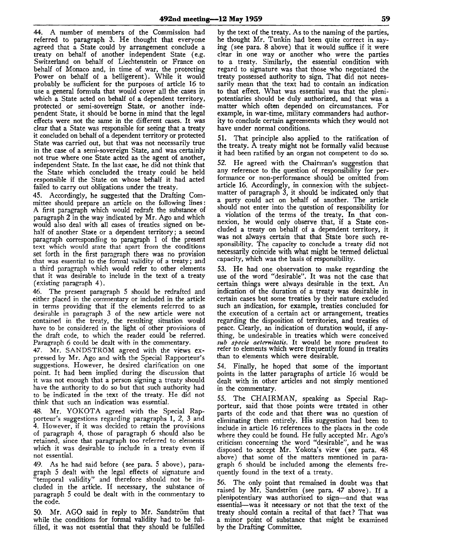44. A number of members of the Commission had referred to paragraph 3. He thought that everyone agreed that a State could by arrangement conclude a treaty on behalf of another independent State (e.g. Switzerland on behalf of Liechtenstein or France on behalf of Monaco and, in time of war, the protecting Power on behalf of a belligerent). While it would probably be sufficient for the purposes of article 16 to use a general formula that would cover all the cases in which a State acted on behalf of a dependent territory, protected or semi-sovereign State, or another independent State, it should be borne in mind that the legal effects were not the same in the different cases. It was clear that a State was responsible for seeing that a treaty it concluded on behalf of a dependent territory or protected State was carried out, but that was not necessarily true in the case of a semi-sovereign State, and was certainly not true where one State acted as the agent of another, independent State. In the last case, he did not think that the State which concluded the treaty could be held responsible if the State on whose behalf it had acted failed to carry out obligations under the treaty.

45. Accordingly, he suggested that the Drafting Committee should prepare an article on the following lines: A first paragraph which would redraft the substance of paragraph 2 in the way indicated by Mr. Ago and which would also deal with all cases of treaties signed on behalf of another State or a dependent territory; a second paragraph corresponding to paragraph 1 of the present text which would state that apart from the conditions set forth in the first paragraph there was no provision that was essential to the formal validity of a treaty; and a third paragraph which would refer to other elements that it was desirable to include in the text of a treaty (existing paragraph 4).

46. The present paragraph 5 should be redrafted and either placed in the commentary or included in the article in terms providing that if the elements referred to as desirable in paragraph 3 of the new article were not contained in the treaty, the resulting situation would have to be considered in the light of other provisions of the draft code, to which the reader could be referred. Paragraph 6 could be dealt with in the commentary.

47. Mr. SANDSTROM agreed with the views expressed by Mr. Ago and with the Special Rapporteur's suggestions. However, he desired clarification on one point. It had been implied during the discussion that it was not enough that a person signing a treaty should have the authority to do so but that such authority had to be indicated in the text of the treaty. He did not think that such an indication was essential.

48. Mr. YOKOTA agreed with the Special Rapporteur's suggestions regarding paragraphs 1, 2, 3 and 4. However, if it was decided to retain the provisions of paragraph 4, those of paragraph 6 should also be retained, since that paragraph too referred to elements which it was desirable to include in a treaty even if not essential.

49. As he had said before (see para. 5 above), paragraph 5 dealt with the legal effects of signature and "temporal validity" and therefore should not be included in the article. If necessary, the substance of paragraph 5 could be dealt with in the commentary to the code.

50. Mr. AGO said in reply to Mr. Sandström that while the conditions for formal validity had to be fulfilled, it was not essential that they should be fulfilled

by the text of the treaty. As to the naming of the parties, he thought Mr. Tunkin had been quite correct in saying (see para. 8 above) that it would suffice if it were clear in one way or another who were the parties to a treaty. Similarly, the essential condition with regard to signature was that those who negotiated the treaty possessed authority to sign. That did not necessarily mean that the text had to contain an indication to that effect. What was essential was that the plenipotentiaries should be duly authorized, and that was a matter which often depended on circumstances. For example, in war-time, military commanders had authority to conclude certain agreements which they would not have under normal conditions.

51. That principle also applied to the ratification of the treaty. A treaty might not be formally valid because it had been ratified by an organ not competent to do so.

52. He agreed with the Chairman's suggestion that any reference to the question of responsibility for performance or non-performance should be omitted from article 16. Accordingly, in connexion with the subjectmatter of paragraph 3, it should be indicated only that a party could act on behalf of another. The article should not enter into the question of responsibility for a violation of the terms of the treaty. In that connexion, he would only observe that, if a State concluded a treaty on behalf of a dependent territory, it was not always certain that that State bore such responsibility. The capacity to conclude a treaty did not necessarily coincide with what might be termed delictual capacity, which was the basis of responsibility.

53. He had one observation to make regarding the use of the word "desirable". It was not the case that certain things were always desirable in the text. An indication of the duration of a treaty was desirable in certain cases but some treaties by their nature excluded such an indication, for example, treaties concluded for the execution of a certain act or arrangement, treaties regarding the disposition of territories, and treaties of peace. Clearly, an indication of duration would, if anything, be undesirable in treaties which were conceived *sub specie aeternitatis.* It would be more prudent to refer to elements which were frequently found in treaties than to elements which were desirable.

54. Finally, he hoped that some of the important points in the latter paragraphs of article 16 would be dealt with in other articles and not simply mentioned in the commentary.

55. The CHAIRMAN, speaking as Special Rapporteur, said that those points were treated in other parts of the code and that there was no question of eliminating them entirely. His suggestion had been to include in article 16 references to the places in the code where they could be found. He fully accepted Mr. Ago's criticism concerning the word "desirable", and he was disposed to accept Mr. Yokota's view (see para. 48 above) that some of the matters mentioned in paragraph 6 should be included among the elements frequently found in the text of a treaty.

56. The only point that remained in doubt was that raised by Mr. Sandström (see para. 47 above). If a plenipotentiary was authorized to sign—and that was essential—was it necessary or not that the text of the treaty should contain a recital of that fact? That was a minor point of substance that might be examined by the Drafting Committee.